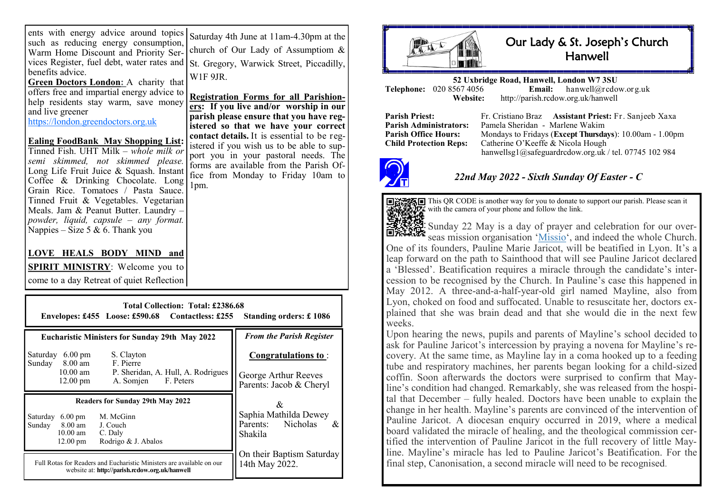| ents with energy advice around topics          |  |  |  |  |  |
|------------------------------------------------|--|--|--|--|--|
| such as reducing energy consumption,           |  |  |  |  |  |
| Warm Home Discount and Priority Ser-           |  |  |  |  |  |
| vices Register, fuel debt, water rates and   s |  |  |  |  |  |
| benefits advice.                               |  |  |  |  |  |
| <b>Green Doctors London:</b> A charity that    |  |  |  |  |  |
| offers free and importial energy advice to     |  |  |  |  |  |

offers free and impartial energy advice to help residents stay warm, save money and live greener

<https://london.greendoctors.org.uk>

#### **Ealing FoodBank May Shopping List:**  Tinned Fish. UHT Milk *– whole milk or semi skimmed, not skimmed please.*  Long Life Fruit Juice & Squash. Instant Coffee & Drinking Chocolate. Long Grain Rice. Tomatoes / Pasta Sauce. Tinned Fruit & Vegetables. Vegetarian Meals. Jam & Peanut Butter. Laundry – *powder, liquid, capsule – any format.* Nappies – Size 5 & 6. Thank you

Saturday 4th June at 11am-4.30pm at the church of Our Lady of Assumptiom & St. Gregory, Warwick Street, Piccadilly, W1F 9JR

**Registration Forms for all Parishioners: If you live and/or worship in our parish please ensure that you have registered so that we have your correct contact details.** It is essential to be registered if you wish us to be able to support you in your pastoral needs. The forms are available from the Parish Office from Monday to Friday 10am to 1pm.

### **LOVE HEALS BODY MIND and**

#### **SPIRIT MINISTRY**: Welcome you to

come to a day Retreat of quiet Reflection

| <b>Total Collection: Total: £2386.68</b><br>Envelopes: £455 Loose: £590.68 Contactless: £255 Standing orders: £1086                                                    |                                                                        |  |  |  |  |  |
|------------------------------------------------------------------------------------------------------------------------------------------------------------------------|------------------------------------------------------------------------|--|--|--|--|--|
| <b>Eucharistic Ministers for Sunday 29th May 2022</b>                                                                                                                  | <b>From the Parish Register</b>                                        |  |  |  |  |  |
| S. Clayton<br>Saturday<br>$6.00 \text{ pm}$<br>F. Pierre<br>Sunday 8.00 am<br>$10.00$ am<br>P. Sheridan, A. Hull, A. Rodrigues<br>$12.00$ pm<br>F. Peters<br>A. Somien | Congratulations to:<br>George Arthur Reeves<br>Parents: Jacob & Cheryl |  |  |  |  |  |
| <b>Readers for Sunday 29th May 2022</b>                                                                                                                                | &                                                                      |  |  |  |  |  |
| M. McGinn<br>Saturday<br>$6.00 \text{ pm}$<br>Sunday 8.00 am<br>J. Couch<br>$10.00$ am<br>C. Daly<br>12.00 pm<br>Rodrigo & J. Abalos                                   | Saphia Mathilda Dewey<br>Parents: Nicholas<br>&<br>Shakila             |  |  |  |  |  |
| Full Rotas for Readers and Eucharistic Ministers are available on our<br>website at: http://parish.rcdow.org.uk/hanwell                                                | On their Baptism Saturday<br>14th May 2022.                            |  |  |  |  |  |



# Our Lady & St. Joseph's Church **Hanwell**

**52 Uxbridge Road, Hanwell, London W7 3SU Telephone:** 020 8567 4056 **Email:**<br>**Website:** http://parish.rcdo **Website:** http://parish.rcdow.org.uk/hanwell

**Parish Priest:** Fr. Cristiano Braz **Assistant Priest:** Fr. Sanjeeb Xaxa **Parish Administrators:** Pamela Sheridan - Marlene Wakim **Parish Office Hours:** Mondays to Fridays (**Except Thursdays**): 10.00am - 1.00pm Child Protection Reps: Catherine O'Keeffe & Nicola Hough Catherine O'Keeffe & Nicola Hough hanwellsg1@safeguardrcdow.org.uk / tel. 07745 102 984



## *22nd May 2022 - Sixth Sunday Of Easter - C*



Sunday 22 May is a day of prayer and celebration for our over-seas mission organisation '[Missio'](https://missio.org.uk/), and indeed the whole Church. One of its founders, Pauline Marie Jaricot, will be beatified in Lyon. It's a leap forward on the path to Sainthood that will see Pauline Jaricot declared a 'Blessed'. Beatification requires a miracle through the candidate's intercession to be recognised by the Church. In Pauline's case this happened in May 2012. A three-and-a-half-year-old girl named Mayline, also from Lyon, choked on food and suffocated. Unable to resuscitate her, doctors explained that she was brain dead and that she would die in the next few weeks.

Upon hearing the news, pupils and parents of Mayline's school decided to ask for Pauline Jaricot's intercession by praying a novena for Mayline's recovery. At the same time, as Mayline lay in a coma hooked up to a feeding tube and respiratory machines, her parents began looking for a child-sized coffin. Soon afterwards the doctors were surprised to confirm that Mayline's condition had changed. Remarkably, she was released from the hospital that December – fully healed. Doctors have been unable to explain the change in her health. Mayline's parents are convinced of the intervention of Pauline Jaricot. A diocesan enquiry occurred in 2019, where a medical board validated the miracle of healing, and the theological commission certified the intervention of Pauline Jaricot in the full recovery of little Mayline. Mayline's miracle has led to Pauline Jaricot's Beatification. For the final step, Canonisation, a second miracle will need to be recognised.